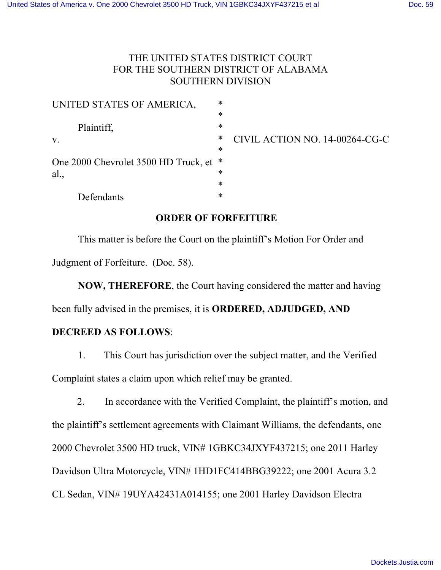## THE UNITED STATES DISTRICT COURT FOR THE SOUTHERN DISTRICT OF ALABAMA SOUTHERN DIVISION

| UNITED STATES OF AMERICA,                                                  | $\ast$ |                                |
|----------------------------------------------------------------------------|--------|--------------------------------|
|                                                                            | $\ast$ |                                |
| Plaintiff,<br>$V_{\cdot}$<br>One 2000 Chevrolet 3500 HD Truck, et *<br>al. | $\ast$ |                                |
|                                                                            | ∗      | CIVIL ACTION NO. 14-00264-CG-C |
|                                                                            | $\ast$ |                                |
|                                                                            |        |                                |
|                                                                            | ∗      |                                |
|                                                                            | $\ast$ |                                |
| Defendants                                                                 | ∗      |                                |

## **ORDER OF FORFEITURE**

This matter is before the Court on the plaintiff's Motion For Order and Judgment of Forfeiture. (Doc. 58).

**NOW, THEREFORE**, the Court having considered the matter and having

been fully advised in the premises, it is **ORDERED, ADJUDGED, AND** 

## **DECREED AS FOLLOWS**:

1. This Court has jurisdiction over the subject matter, and the Verified Complaint states a claim upon which relief may be granted.

 2. In accordance with the Verified Complaint, the plaintiff's motion, and the plaintiff's settlement agreements with Claimant Williams, the defendants, one 2000 Chevrolet 3500 HD truck, VIN# 1GBKC34JXYF437215; one 2011 Harley Davidson Ultra Motorcycle, VIN# 1HD1FC414BBG39222; one 2001 Acura 3.2 CL Sedan, VIN# 19UYA42431A014155; one 2001 Harley Davidson Electra